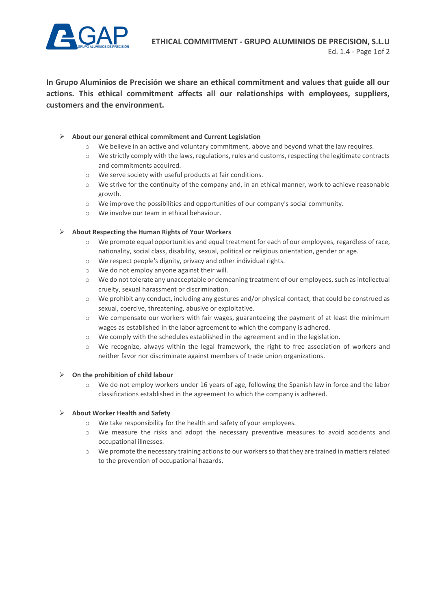

**In Grupo Aluminios de Precisión we share an ethical commitment and values that guide all our actions. This ethical commitment affects all our relationships with employees, suppliers, customers and the environment.**

# ➢ **About our general ethical commitment and Current Legislation**

- o We believe in an active and voluntary commitment, above and beyond what the law requires.
- $\circ$  We strictly comply with the laws, regulations, rules and customs, respecting the legitimate contracts and commitments acquired.
- o We serve society with useful products at fair conditions.
- $\circ$  We strive for the continuity of the company and, in an ethical manner, work to achieve reasonable growth.
- o We improve the possibilities and opportunities of our company's social community.
- o We involve our team in ethical behaviour.

# ➢ **About Respecting the Human Rights of Your Workers**

- o We promote equal opportunities and equal treatment for each of our employees, regardless of race, nationality, social class, disability, sexual, political or religious orientation, gender or age.
- o We respect people's dignity, privacy and other individual rights.
- o We do not employ anyone against their will.
- o We do not tolerate any unacceptable or demeaning treatment of our employees, such as intellectual cruelty, sexual harassment or discrimination.
- $\circ$  We prohibit any conduct, including any gestures and/or physical contact, that could be construed as sexual, coercive, threatening, abusive or exploitative.
- o We compensate our workers with fair wages, guaranteeing the payment of at least the minimum wages as established in the labor agreement to which the company is adhered.
- $\circ$  We comply with the schedules established in the agreement and in the legislation.
- o We recognize, always within the legal framework, the right to free association of workers and neither favor nor discriminate against members of trade union organizations.

### ➢ **On the prohibition of child labour**

o We do not employ workers under 16 years of age, following the Spanish law in force and the labor classifications established in the agreement to which the company is adhered.

### ➢ **About Worker Health and Safety**

- o We take responsibility for the health and safety of your employees.
- o We measure the risks and adopt the necessary preventive measures to avoid accidents and occupational illnesses.
- o We promote the necessary training actions to our workers so that they are trained in matters related to the prevention of occupational hazards.